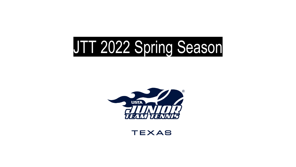## JTT 2022 Spring Season



**TEXAS**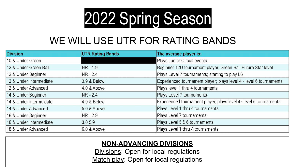

### WE WILL USE UTR FOR RATING BANDS

| <b>Division</b>         | <b>UTR Rating Bands</b> | The average player is:                                             |
|-------------------------|-------------------------|--------------------------------------------------------------------|
| 10 & Under Green        |                         | Plays Junior Circuit events                                        |
| 12 & Under Green Ball   | $NR - 1.9$              | Beginner 12U tournament player, Green Ball Future Star level       |
| 12 & Under Beginner     | $NR - 2.4$              | Plays Level 7 tournaments; starting to play L6                     |
| 12 & Under Intermediate | 3.9 & Below             | Experienced tournament player; plays level 4 - level 6 tournaments |
| 12 & Under Advanced     | 4.0 & Above             | Plays level 1 thru 4 tournaments                                   |
| 14 & Under Beginner     | $NR - 2.4$              | Plays Level 7 tournaments                                          |
| 14 & Under intermeidate | 4.9 & Below             | Experienced tournament player; plays level 4 - level 6 tournaments |
| 14 & Under Advanced     | 5.0 & Above             | Plays Level 1 thru 4 tournaments                                   |
| 18 & Under Beginner     | NR - 2.9                | Plays Level 7 tournaments                                          |
| 18 & Under Intermediate | 3.05.9                  | Plays Level 5 & 6 tournaments                                      |
| 18 & Under Advanced     | 6.0 & Above             | Plays Level 1 thru 4 tournaments                                   |

#### **NON-ADVANCING DIVISIONS**

Divisions: Open for local regulations Match play: Open for local regulations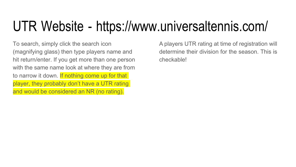### UTR Website - [https://www.universaltennis.com/](http://www.universaltennis.com/)

To search, simply click the search icon (magnifying glass) then type players name and hit return/enter. If you get more than one person with the same name look at where they are from to narrow it down. If nothing come up for that player, they probably don't have a UTR rating and would be considered an NR (no rating).

A players UTR rating at time of registration will determine their division for the season. This is checkable!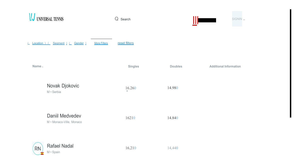| UNIVERSAL TENNIS                                             | Q Search       |                | SIGNIN                        |
|--------------------------------------------------------------|----------------|----------------|-------------------------------|
| Seament 1<br><b>More Filters</b><br>Location ) (<br>Gender 1 | reset filters  |                |                               |
| Name &                                                       | <b>Singles</b> | <b>Doubles</b> | <b>Additional Information</b> |
| Novak Djokovic<br>M · Serbia                                 | 16.260<br>×.   | 14.980         |                               |
| Daniil Medvedev<br>M · Monaco-Ville, Monaco                  | 16210          | 14.840         |                               |
| Rafael Nadal<br><b>RN</b><br>M · Spain<br>¥.                 | 16,210         | 14,440         |                               |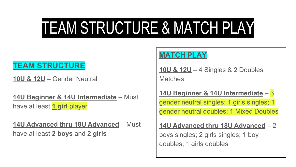### TEAM STRUCTURE & MATCH PLAY

#### **TEAM STRUCTURE**

**10U & 12U** – Gender Neutral

**14U Beginner & 14U Intermediate** – Must have at least **1 girl** player

**14U Advanced thru 18U Advanced** – Must have at least **2 boys** and **2 girls**

#### **MATCH PLAY**

**10U & 12U** – 4 Singles & 2 Doubles **Matches** 

**14U Beginner & 14U Intermediate** – 3 gender neutral singles; 1 girls singles; 1 gender neutral doubles; 1 Mixed Doubles

**14U Advanced thru 18U Advanced** – 2

boys singles; 2 girls singles; 1 boy doubles; 1 girls doubles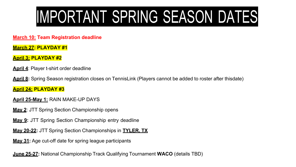## IMPORTANT SPRING SEASON DATES

**March 10: Team Registration deadline**

**March 27: PLAYDAY #1**

**April 3: PLAYDAY #2**

**April 4**: Player t-shirt order deadline

**April 8:** Spring Season registration closes on TennisLink (Players cannot be added to roster after thisdate)

**April 24: PLAYDAY #3**

- **April 25-May 1:** RAIN MAKE-UP DAYS
- **May 2**: JTT Spring Section Championship opens
- **May 9:** JTT Spring Section Championship entry deadline
- **May 20-22:** JTT Spring Section Championships in **TYLER, TX**
- **May 31:** Age cut-off date for spring league participants

**June 25-27:** National Championship Track Qualifying Tournament **WACO** (details TBD)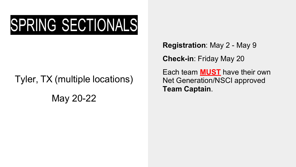## SPRING SECTIONALS

# Tyler, TX (multiple locations)

May 20-22

**Registration**: May 2 - May 9

**Check-in**: Friday May 20

Each team **MUST** have their own Net Generation/NSCI approved **Team Captain**.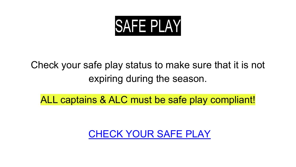

### Check your safe play status to make sure that it is not expiring during the season.

ALL captains & ALC must be safe play compliant!

#### [CHECK YOUR SAFE PLAY](https://www.usta.com/en/home/safe-play.html)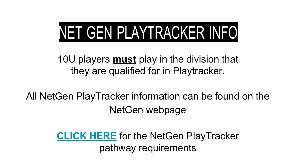## NET GEN PLAYTRACKER INFO

10U players **must** play in the division that they are qualified for in Playtracker.

All NetGen PlayTracker information can be found on the NetGen webpage

> **[CLICK](https://netgeneration.usta.com/us-en/the-net-generation-playtracker.html) HERE** for the NetGen PlayTracker pathway requirements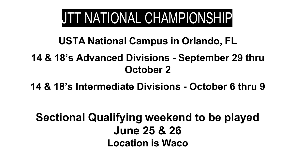### JTT NATIONAL CHAMPIONSHIP

**USTA National Campus in Orlando, FL**

#### **14 & 18's Advanced Divisions - September 29 thru October 2**

**14 & 18's Intermediate Divisions - October 6 thru 9**

**Sectional Qualifying weekend to be played June 25 & 26 Location is Waco**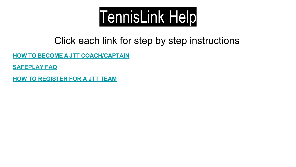

#### Click each link for step by step instructions

**HOW TO BECOME A JTT [COACH/CAPTAIN](https://activesupport.secure.force.com/usta/articles/en_US/Article/Become-a-JTT-Coach)**

**[SAFEPLAY](https://activesupport.secure.force.com/usta/articles/en_US/Article/Net-Generation-Safe-Play-FAQ) FAQ**

**[HOW TO REGISTER FOR A JTT TEAM](https://activesupport.secure.force.com/usta/articles/en_US/Article/Register-For-JTT-Team)**